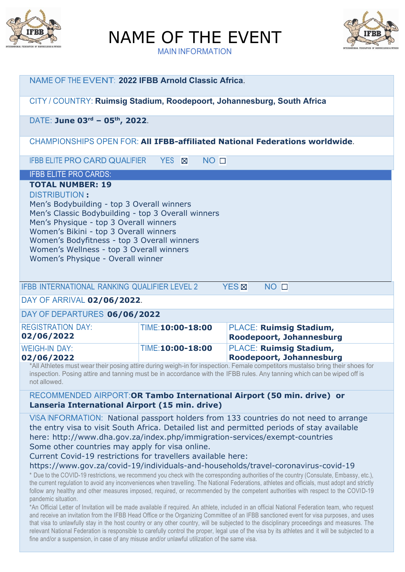

NAME OF THE EVENT



MAIN INFORMATION

| NAME OF THE EVENT: 2022 IFBB Arnold Classic Africa.                                                                                                                                                                                                                                                                                          |                  |                                                                 |  |
|----------------------------------------------------------------------------------------------------------------------------------------------------------------------------------------------------------------------------------------------------------------------------------------------------------------------------------------------|------------------|-----------------------------------------------------------------|--|
| CITY / COUNTRY: Ruimsig Stadium, Roodepoort, Johannesburg, South Africa                                                                                                                                                                                                                                                                      |                  |                                                                 |  |
| DATE: June 03rd - 05th, 2022.                                                                                                                                                                                                                                                                                                                |                  |                                                                 |  |
| <b>CHAMPIONSHIPS OPEN FOR: All IFBB-affiliated National Federations worldwide.</b>                                                                                                                                                                                                                                                           |                  |                                                                 |  |
| <b>IFBB ELITE PRO CARD QUALIFIER YES X</b>                                                                                                                                                                                                                                                                                                   | NO <sub>1</sub>  |                                                                 |  |
| <b>IFBB ELITE PRO CARDS:</b>                                                                                                                                                                                                                                                                                                                 |                  |                                                                 |  |
| <b>DISTRIBUTION:</b><br>Men's Bodybuilding - top 3 Overall winners<br>Men's Classic Bodybuilding - top 3 Overall winners<br>Men's Physique - top 3 Overall winners<br>Women's Bikini - top 3 Overall winners<br>Women's Bodyfitness - top 3 Overall winners<br>Women's Wellness - top 3 Overall winners<br>Women's Physique - Overall winner |                  |                                                                 |  |
| <b>IFBB INTERNATIONAL RANKING QUALIFIER LEVEL 2</b><br>DAY OF ARRIVAL 02/06/2022.                                                                                                                                                                                                                                                            |                  | <b>YES</b> <sub><math>\boxtimes</math></sub><br>NO <sub>1</sub> |  |
|                                                                                                                                                                                                                                                                                                                                              |                  |                                                                 |  |
| DAY OF DEPARTURES 06/06/2022                                                                                                                                                                                                                                                                                                                 |                  |                                                                 |  |
| <b>REGISTRATION DAY:</b><br>02/06/2022                                                                                                                                                                                                                                                                                                       | TIME:10:00-18:00 | <b>PLACE: Ruimsig Stadium,</b><br>Roodepoort, Johannesburg      |  |
| <b>WEIGH-IN DAY:</b><br>02/06/2022                                                                                                                                                                                                                                                                                                           | TIME:10:00-18:00 | <b>PLACE: Ruimsig Stadium,</b><br>Roodepoort, Johannesburg      |  |
| *All Athletes must wear their posing attire during weigh-in for inspection. Female competitors mustalso bring their shoes for<br>inspection. Posing attire and tanning must be in accordance with the IFBB rules. Any tanning which can be wiped off is<br>not allowed.                                                                      |                  |                                                                 |  |
| RECOMMENDED AIRPORT:OR Tambo International Airport (50 min. drive) or<br>Lanseria International Airport (15 min. drive)                                                                                                                                                                                                                      |                  |                                                                 |  |
| VISA INFORMATION: National passport holders from 133 countries do not need to arrange<br>the entry visa to visit South Africa. Detailed list and permitted periods of stay available<br>here: http://www.dha.gov.za/index.php/immigration-services/exempt-countries                                                                          |                  |                                                                 |  |

Some other countries may apply for visa online.

Current Covid-19 restrictions for travellers available here:

https://www.gov.za/covid-19/individuals-and-households/travel-coronavirus-covid-19

\* Due to the COVID-19 restrictions, we recommend you check with the corresponding authorities of the country (Consulate, Embassy, etc.), the current regulation to avoid any inconveniences when travelling. The National Federations, athletes and officials, must adopt and strictly follow any healthy and other measures imposed, required, or recommended by the competent authorities with respect to the COVID-19 pandemic situation.

\*An Official Letter of Invitation will be made available if required. An athlete, included in an official National Federation team, who request and receive an invitation from the IFBB Head Office or the Organizing Committee of an IFBB sanctioned event for visa purposes , and uses that visa to unlawfully stay in the host country or any other country, will be subjected to the disciplinary proceedings and measures. The relevant National Federation is responsible to carefully control the proper, legal use of the visa by its athletes and it will be subjected to a fine and/or a suspension, in case of any misuse and/or unlawful utilization of the same visa.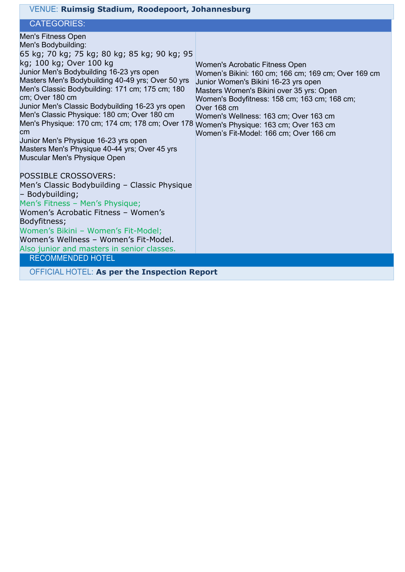| VENUE: Ruimsig Stadium, Roodepoort, Johannesburg                                                                                                                                                                                                                                                                                                                                                                                                                                                                                                                                         |                                                                                                                                                                                                                                                                                                                                                                      |  |  |
|------------------------------------------------------------------------------------------------------------------------------------------------------------------------------------------------------------------------------------------------------------------------------------------------------------------------------------------------------------------------------------------------------------------------------------------------------------------------------------------------------------------------------------------------------------------------------------------|----------------------------------------------------------------------------------------------------------------------------------------------------------------------------------------------------------------------------------------------------------------------------------------------------------------------------------------------------------------------|--|--|
| <b>CATEGORIES:</b>                                                                                                                                                                                                                                                                                                                                                                                                                                                                                                                                                                       |                                                                                                                                                                                                                                                                                                                                                                      |  |  |
| <b>Men's Fitness Open</b><br>Men's Bodybuilding:<br>65 kg; 70 kg; 75 kg; 80 kg; 85 kg; 90 kg; 95<br>kg; 100 kg; Over 100 kg<br>Junior Men's Bodybuilding 16-23 yrs open<br>Masters Men's Bodybuilding 40-49 yrs; Over 50 yrs<br>Men's Classic Bodybuilding: 171 cm; 175 cm; 180<br>cm; Over 180 cm<br>Junior Men's Classic Bodybuilding 16-23 yrs open<br>Men's Classic Physique: 180 cm; Over 180 cm<br>Men's Physique: 170 cm; 174 cm; 178 cm; Over 178<br>cm<br>Junior Men's Physique 16-23 yrs open<br>Masters Men's Physique 40-44 yrs; Over 45 yrs<br>Muscular Men's Physique Open | Women's Acrobatic Fitness Open<br>Women's Bikini: 160 cm; 166 cm; 169 cm; Over 169 cm<br>Junior Women's Bikini 16-23 yrs open<br>Masters Women's Bikini over 35 yrs: Open<br>Women's Bodyfitness: 158 cm; 163 cm; 168 cm;<br>Over 168 cm<br>Women's Wellness: 163 cm; Over 163 cm<br>Women's Physique: 163 cm; Over 163 cm<br>Women's Fit-Model: 166 cm; Over 166 cm |  |  |
| <b>POSSIBLE CROSSOVERS:</b><br>Men's Classic Bodybuilding - Classic Physique<br>- Bodybuilding;<br>Men's Fitness - Men's Physique;<br>Women's Acrobatic Fitness - Women's<br>Bodyfitness;<br>Women's Bikini - Women's Fit-Model;<br>Women's Wellness - Women's Fit-Model.<br>Also junior and masters in senior classes.<br><b>RECOMMENDED HOTEL</b>                                                                                                                                                                                                                                      |                                                                                                                                                                                                                                                                                                                                                                      |  |  |
| <b>OFFICIAL HOTEL: As per the Inspection Report</b>                                                                                                                                                                                                                                                                                                                                                                                                                                                                                                                                      |                                                                                                                                                                                                                                                                                                                                                                      |  |  |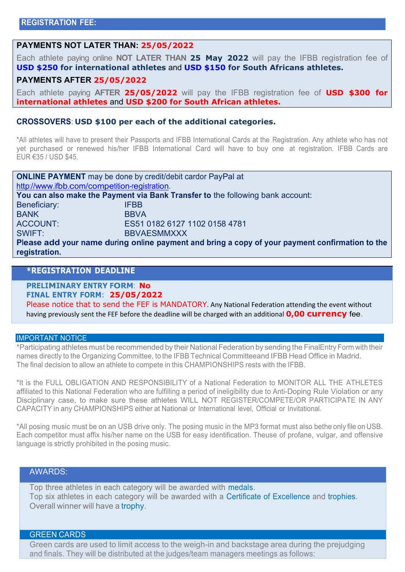# **PAYMENTS NOT LATER THAN: 25/05/2022**

Each athlete paying online **NOT LATER THAN 25 May 2022** will pay the IFBB registration fee of **USD \$250 for international athletes** and **USD \$150 for South Africans athletes.**

#### **PAYMENTS AFTER 25/05/2022**

Each athlete paying **AFTER 25/05/2022** will pay the IFBB registration fee of **USD \$300 for international athletes** and **USD \$200 for South African athletes.**

#### **CROSSOVERS**: **USD \$100 per each of the additional categories.**

\*All athletes will have to present their Passports and IFBB International Cards at the Registration. Any athlete who has not yet purchased or renewed his/her IFBB International Card will have to buy one at registration. IFBB Cards are EUR €35 / USD \$45.

| <b>ONLINE PAYMENT</b> may be done by credit/debit cardor PayPal at                                               |                               |  |
|------------------------------------------------------------------------------------------------------------------|-------------------------------|--|
| http://www.ifbb.com/competition-registration.                                                                    |                               |  |
| You can also make the Payment via Bank Transfer to the following bank account:                                   |                               |  |
| Beneficiary:                                                                                                     | <b>IFBB</b>                   |  |
| <b>BANK</b>                                                                                                      | <b>BBVA</b>                   |  |
| ACCOUNT:                                                                                                         | ES51 0182 6127 1102 0158 4781 |  |
| SWIFT:                                                                                                           | <b>BBVAESMMXXX</b>            |  |
| Please add your name during online payment and bring a copy of your payment confirmation to the<br>registration. |                               |  |

# **\*REGISTRATION DEADLINE**

**PRELIMINARY ENTRY FORM**: **No**

**FINAL ENTRY FORM**: **25/05/2022**

Please notice that to send the FEF is MANDATORY. Any National Federation attending the event without having previously sent the FEF before the deadline will be charged with an additional **0,00 currency** fee.

#### IMPORTANT NOTICE

\*Participating athletes must be recommended by their National Federation by sending the FinalEntry Form with their names directly to the Organizing Committee, to the IFBB Technical Committeeand IFBB Head Office in Madrid. The final decision to allow an athlete to compete in this CHAMPIONSHIPS rests with the IFBB.

\*It is the FULL OBLIGATION AND RESPONSIBILITY of a National Federation to MONITOR ALL THE ATHLETES affiliated to this National Federation who are fulfilling a period of ineligibility due to Anti-Doping Rule Violation or any Disciplinary case, to make sure these athletes WILL NOT REGISTER/COMPETE/OR PARTICIPATE IN ANY CAPACITY in any CHAMPIONSHIPS either at National or International level, Official or Invitational.

\*All posing music must be on an USB drive only. The posing music in the MP3 format must also bethe only file on USB. Each competitor must affix his/her name on the USB for easy identification. Theuse of profane, vulgar, and offensive language is strictly prohibited in the posing music.

# AWARDS:

Top three athletes in each category will be awarded with medals. Top six athletes in each category will be awarded with a Certificate of Excellence and trophies. Overall winner will have a trophy.

#### GREEN CARDS

Green cards are used to limit access to the weigh-in and backstage area during the prejudging and finals. They will be distributed at the judges/team managers meetings as follows: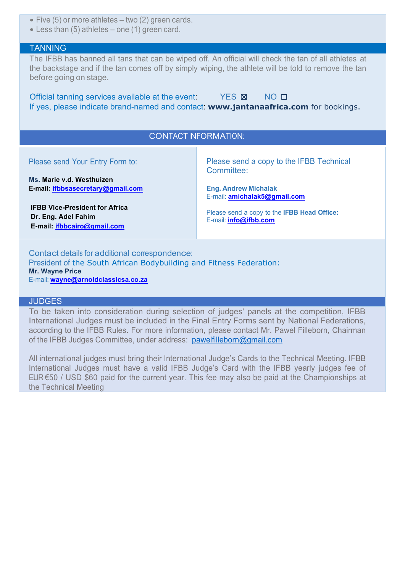- Five (5) or more athletes two (2) green cards.
- Less than (5) athletes one (1) green card.

#### **TANNING**

The IFBB has banned all tans that can be wiped off. An official will check the tan of all athletes at the backstage and if the tan comes off by simply wiping, the athlete will be told to remove the tan before going on stage.

Official tanning services available at the event: YES  $\boxtimes$  NO  $\Box$ If yes, please indicate brand-named and contact: **www.jantanaafrica.com** for bookings.

# CONTACT INFORMATION:

| Please send Your Entry Form to:<br>Ms. Marie v.d. Westhuizen                                       | Please send a copy to the IFBB Technical<br>Committee:               |
|----------------------------------------------------------------------------------------------------|----------------------------------------------------------------------|
| E-mail: ifbbsasecretary@gmail.com                                                                  | <b>Eng. Andrew Michalak</b>                                          |
|                                                                                                    | E-mail: <b>amichalak5@gmail.com</b>                                  |
| <b>IFBB Vice-President for Africa</b><br>Dr. Eng. Adel Fahim<br>E-mail: <i>ifbbcairo@gmail.com</i> | Please send a copy to the IFBB Head Office:<br>E-mail: info@ifbb.com |

Contact details for additional correspondence: President of the South African Bodybuilding and Fitness Federation: **Mr. Wayne Price** E-mail: **[wayne@arnoldclassicsa.co.za](mailto:wayne@arnoldclassicsa.co.za)**

#### **JUDGES**

To be taken into consideration during selection of judges' panels at the competition, IFBB International Judges must be included in the Final Entry Forms sent by National Federations, according to the IFBB Rules. For more information, please contact Mr. Pawel Filleborn, Chairman of the IFBB Judges Committee, under address: [pawelfilleborn@gmail.com](mailto:pawelfilleborn@gmail.com)

All international judges must bring their International Judge's Cards to the Technical Meeting. IFBB International Judges must have a valid IFBB Judge's Card with the IFBB yearly judges fee of EUR €50 / USD \$60 paid for the current year. This fee may also be paid at the Championships at the Technical Meeting